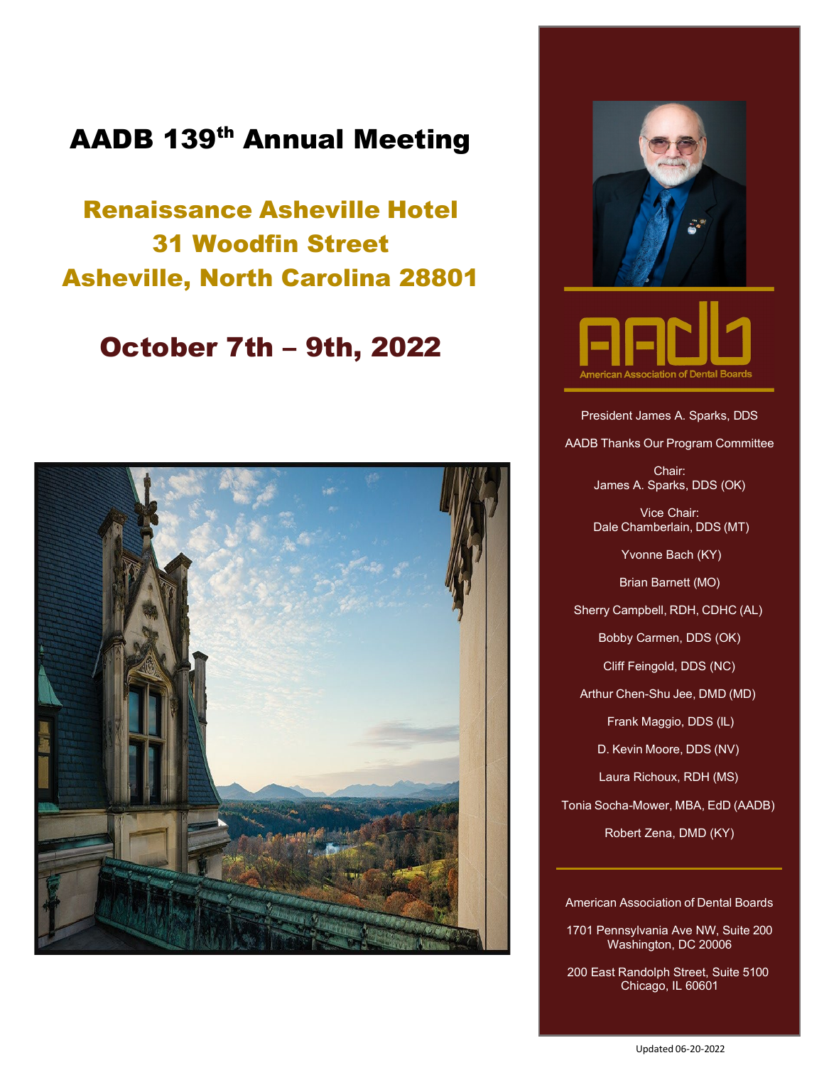### AADB 139th Annual Meeting

Renaissance Asheville Hotel 31 Woodfin Street Asheville, North Carolina 28801

#### October 7th – 9th, 2022







President James A. Sparks, DDS

AADB Thanks Our Program Committee

Chair: James A. Sparks, DDS (OK)

Vice Chair: Dale Chamberlain, DDS (MT)

Yvonne Bach (KY)

Brian Barnett (MO)

Sherry Campbell, RDH, CDHC (AL)

Bobby Carmen, DDS (OK)

Cliff Feingold, DDS (NC)

Arthur Chen-Shu Jee, DMD (MD)

Frank Maggio, DDS (IL)

D. Kevin Moore, DDS (NV)

Laura Richoux, RDH (MS)

Tonia Socha-Mower, MBA, EdD (AADB)

Robert Zena, DMD (KY)

American Association of Dental Boards

1701 Pennsylvania Ave NW, Suite 200 Washington, DC 20006

200 East Randolph Street, Suite 5100 Chicago, IL 60601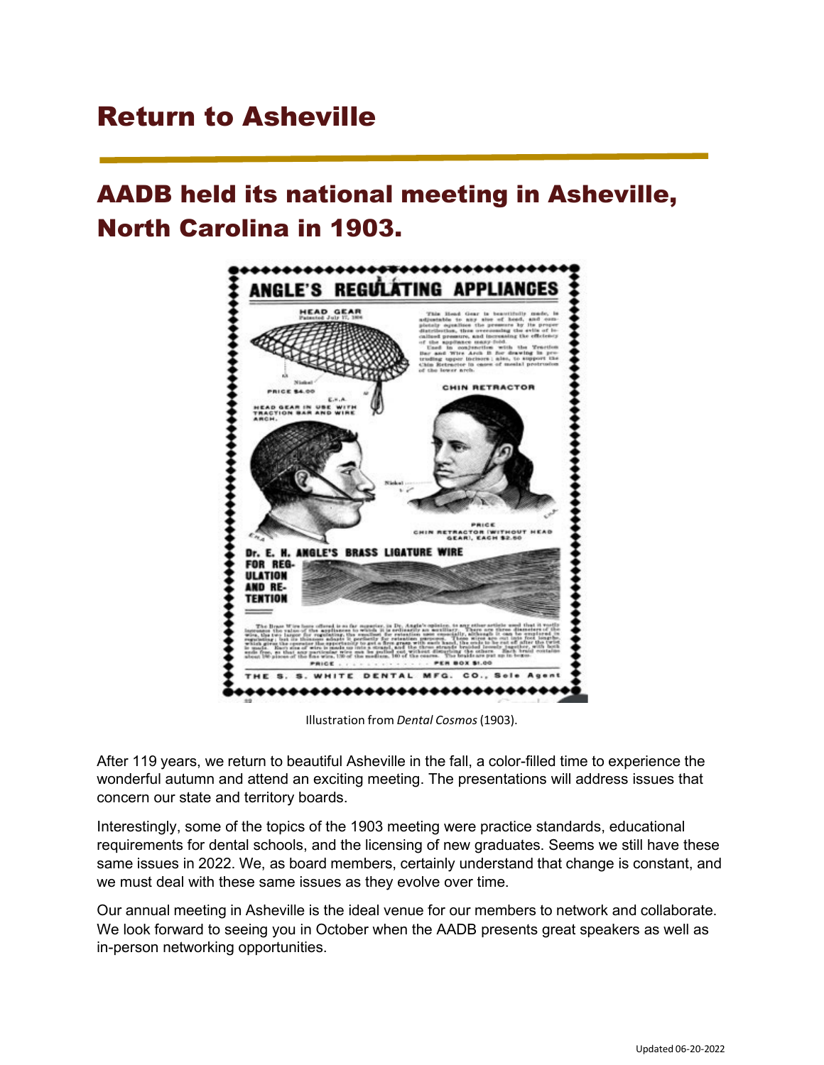### Return to Asheville

### AADB held its national meeting in Asheville, North Carolina in 1903.



Illustration from *Dental Cosmos*(1903).

After 119 years, we return to beautiful Asheville in the fall, a color-filled time to experience the wonderful autumn and attend an exciting meeting. The presentations will address issues that concern our state and territory boards.

Interestingly, some of the topics of the 1903 meeting were practice standards, educational requirements for dental schools, and the licensing of new graduates. Seems we still have these same issues in 2022. We, as board members, certainly understand that change is constant, and we must deal with these same issues as they evolve over time.

Our annual meeting in Asheville is the ideal venue for our members to network and collaborate. We look forward to seeing you in October when the AADB presents great speakers as well as in-person networking opportunities.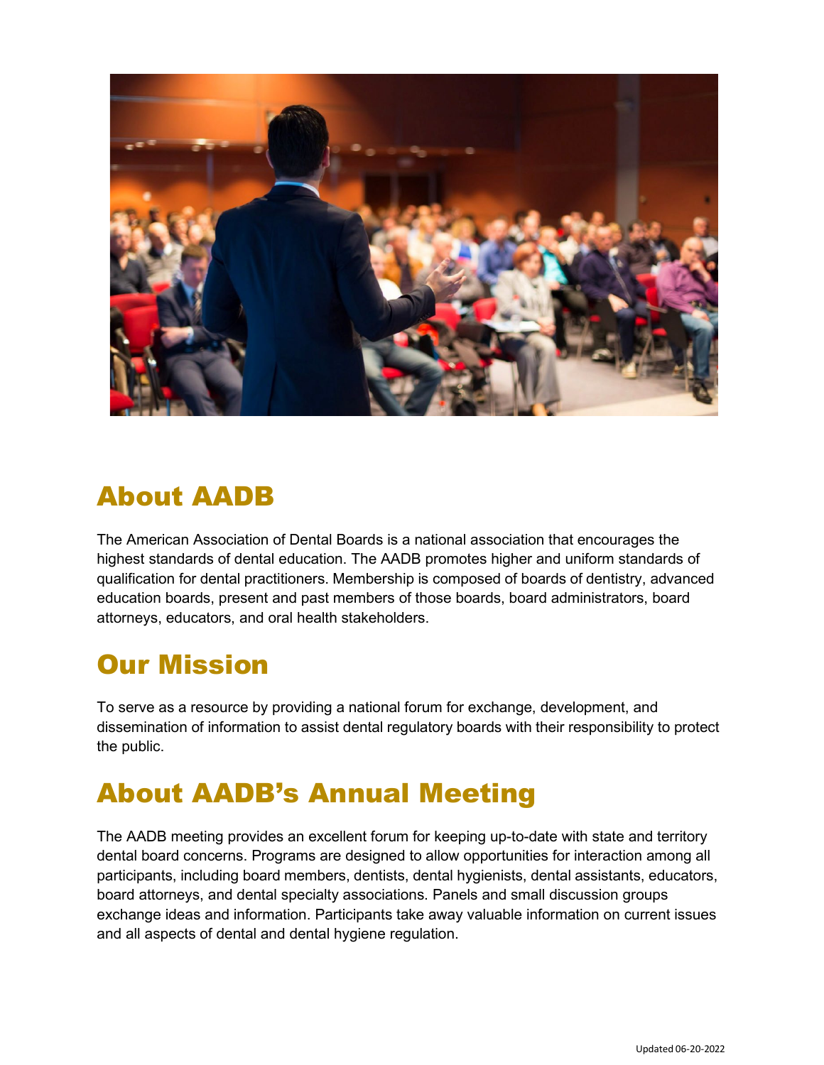

### About AADB

The American Association of Dental Boards is a national association that encourages the highest standards of dental education. The AADB promotes higher and uniform standards of qualification for dental practitioners. Membership is composed of boards of dentistry, advanced education boards, present and past members of those boards, board administrators, board attorneys, educators, and oral health stakeholders.

## Our Mission

To serve as a resource by providing a national forum for exchange, development, and dissemination of information to assist dental regulatory boards with their responsibility to protect the public.

### About AADB's Annual Meeting

The AADB meeting provides an excellent forum for keeping up-to-date with state and territory dental board concerns. Programs are designed to allow opportunities for interaction among all participants, including board members, dentists, dental hygienists, dental assistants, educators, board attorneys, and dental specialty associations. Panels and small discussion groups exchange ideas and information. Participants take away valuable information on current issues and all aspects of dental and dental hygiene regulation.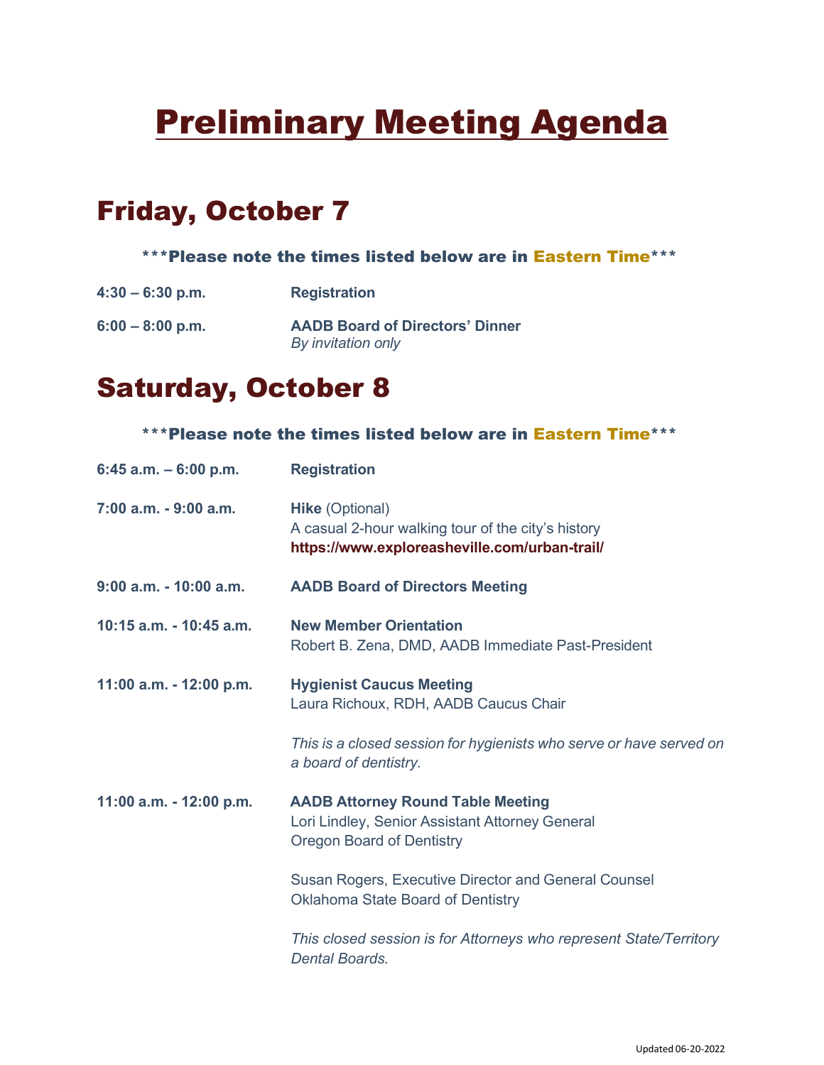# **Preliminary Meeting Agenda**

### Friday, October 7

#### \*\*\*Please note the times listed below are in Eastern Time\*\*\*

**4:30 – 6:30 p.m. Registration**

**6:00 – 8:00 p.m. AADB Board of Directors' Dinner** *By invitation only*

### Saturday, October 8

#### \*\*\*Please note the times listed below are in Eastern Time\*\*\*

| 6:45 a.m. $-$ 6:00 p.m.   | <b>Registration</b>                                                                                                             |  |
|---------------------------|---------------------------------------------------------------------------------------------------------------------------------|--|
| 7:00 a.m. - 9:00 a.m.     | <b>Hike (Optional)</b><br>A casual 2-hour walking tour of the city's history<br>https://www.exploreasheville.com/urban-trail/   |  |
| $9:00$ a.m. $-10:00$ a.m. | <b>AADB Board of Directors Meeting</b>                                                                                          |  |
| 10:15 a.m. - 10:45 a.m.   | <b>New Member Orientation</b><br>Robert B. Zena, DMD, AADB Immediate Past-President                                             |  |
| 11:00 a.m. - 12:00 p.m.   | <b>Hygienist Caucus Meeting</b><br>Laura Richoux, RDH, AADB Caucus Chair                                                        |  |
|                           | This is a closed session for hygienists who serve or have served on<br>a board of dentistry.                                    |  |
| 11:00 a.m. - 12:00 p.m.   | <b>AADB Attorney Round Table Meeting</b><br>Lori Lindley, Senior Assistant Attorney General<br><b>Oregon Board of Dentistry</b> |  |
|                           | Susan Rogers, Executive Director and General Counsel<br>Oklahoma State Board of Dentistry                                       |  |
|                           | This closed session is for Attorneys who represent State/Territory<br><b>Dental Boards.</b>                                     |  |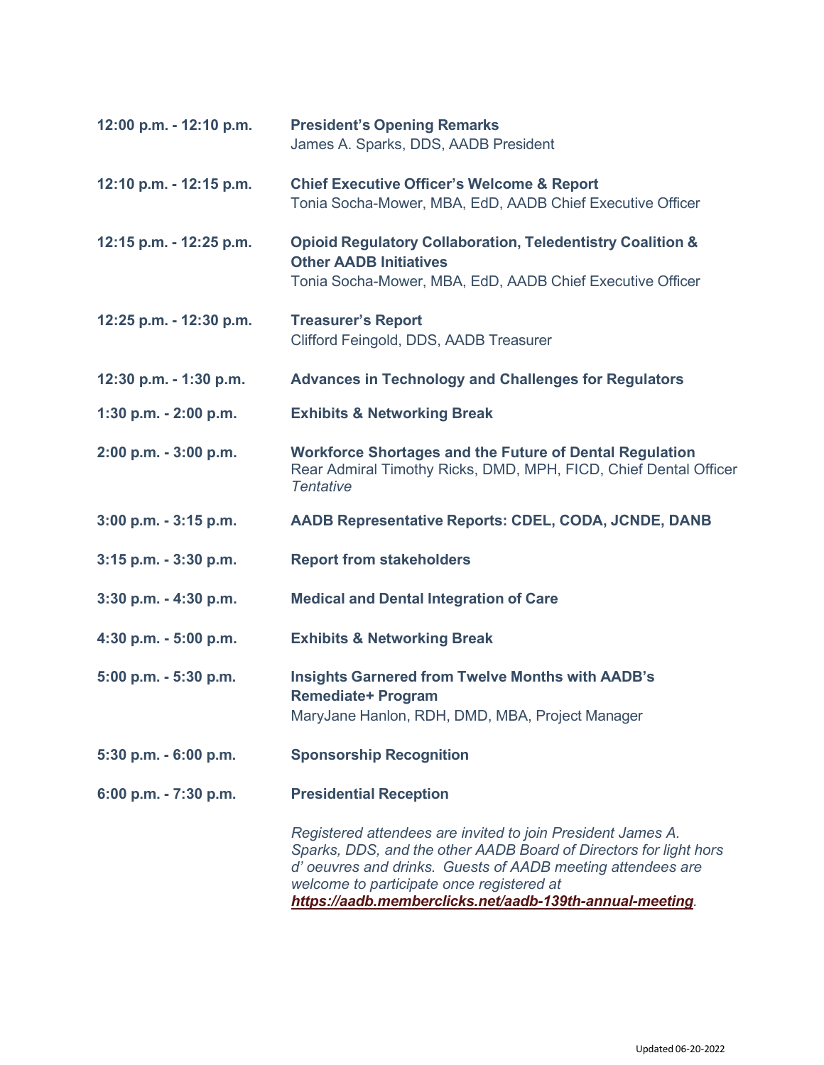| 12:00 p.m. - 12:10 p.m.  | <b>President's Opening Remarks</b><br>James A. Sparks, DDS, AADB President                                                                                                                                                                                                                               |  |  |  |
|--------------------------|----------------------------------------------------------------------------------------------------------------------------------------------------------------------------------------------------------------------------------------------------------------------------------------------------------|--|--|--|
| 12:10 p.m. - 12:15 p.m.  | <b>Chief Executive Officer's Welcome &amp; Report</b><br>Tonia Socha-Mower, MBA, EdD, AADB Chief Executive Officer                                                                                                                                                                                       |  |  |  |
| 12:15 p.m. - 12:25 p.m.  | <b>Opioid Regulatory Collaboration, Teledentistry Coalition &amp;</b><br><b>Other AADB Initiatives</b><br>Tonia Socha-Mower, MBA, EdD, AADB Chief Executive Officer                                                                                                                                      |  |  |  |
| 12:25 p.m. - 12:30 p.m.  | <b>Treasurer's Report</b><br>Clifford Feingold, DDS, AADB Treasurer                                                                                                                                                                                                                                      |  |  |  |
| 12:30 p.m. - 1:30 p.m.   | <b>Advances in Technology and Challenges for Regulators</b>                                                                                                                                                                                                                                              |  |  |  |
| 1:30 p.m. $- 2:00$ p.m.  | <b>Exhibits &amp; Networking Break</b>                                                                                                                                                                                                                                                                   |  |  |  |
| 2:00 p.m. - 3:00 p.m.    | <b>Workforce Shortages and the Future of Dental Regulation</b><br>Rear Admiral Timothy Ricks, DMD, MPH, FICD, Chief Dental Officer<br><b>Tentative</b>                                                                                                                                                   |  |  |  |
| $3:00$ p.m. $-3:15$ p.m. | <b>AADB Representative Reports: CDEL, CODA, JCNDE, DANB</b>                                                                                                                                                                                                                                              |  |  |  |
| 3:15 p.m. - 3:30 p.m.    | <b>Report from stakeholders</b>                                                                                                                                                                                                                                                                          |  |  |  |
| $3:30$ p.m. $-4:30$ p.m. | <b>Medical and Dental Integration of Care</b>                                                                                                                                                                                                                                                            |  |  |  |
| 4:30 p.m. - 5:00 p.m.    | <b>Exhibits &amp; Networking Break</b>                                                                                                                                                                                                                                                                   |  |  |  |
| 5:00 p.m. - 5:30 p.m.    | <b>Insights Garnered from Twelve Months with AADB's</b><br><b>Remediate+ Program</b><br>MaryJane Hanlon, RDH, DMD, MBA, Project Manager                                                                                                                                                                  |  |  |  |
| 5:30 p.m. - 6:00 p.m.    | <b>Sponsorship Recognition</b>                                                                                                                                                                                                                                                                           |  |  |  |
| 6:00 p.m. - 7:30 p.m.    | <b>Presidential Reception</b>                                                                                                                                                                                                                                                                            |  |  |  |
|                          | Registered attendees are invited to join President James A.<br>Sparks, DDS, and the other AADB Board of Directors for light hors<br>d' oeuvres and drinks. Guests of AADB meeting attendees are<br>welcome to participate once registered at<br>https://aadb.memberclicks.net/aadb-139th-annual-meeting. |  |  |  |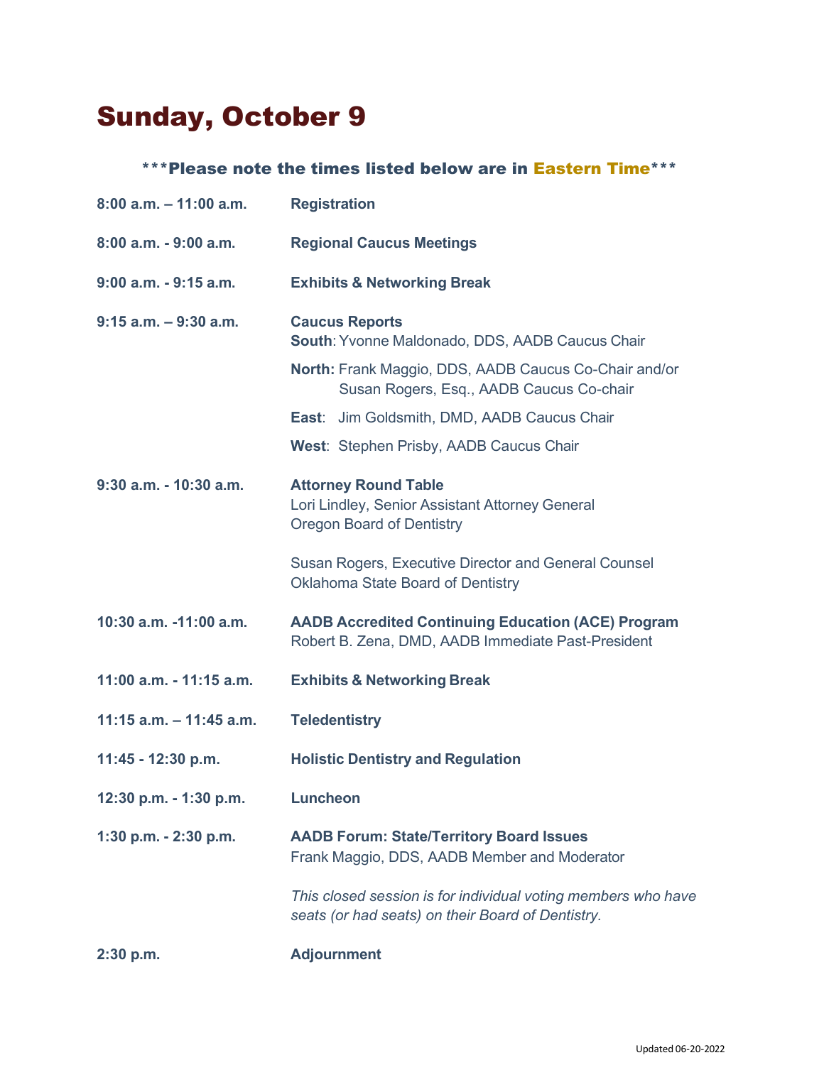## Sunday, October 9

#### \*\*\*Please note the times listed below are in Eastern Time\*\*\*

| $8:00$ a.m. $-11:00$ a.m.  | <b>Registration</b>                                                                                                |  |  |
|----------------------------|--------------------------------------------------------------------------------------------------------------------|--|--|
| 8:00 a.m. - 9:00 a.m.      | <b>Regional Caucus Meetings</b>                                                                                    |  |  |
| $9:00$ a.m. $-9:15$ a.m.   | <b>Exhibits &amp; Networking Break</b>                                                                             |  |  |
| $9:15$ a.m. $-9:30$ a.m.   | <b>Caucus Reports</b><br>South: Yvonne Maldonado, DDS, AADB Caucus Chair                                           |  |  |
|                            | North: Frank Maggio, DDS, AADB Caucus Co-Chair and/or<br>Susan Rogers, Esq., AADB Caucus Co-chair                  |  |  |
|                            | <b>East:</b> Jim Goldsmith, DMD, AADB Caucus Chair                                                                 |  |  |
|                            | West: Stephen Prisby, AADB Caucus Chair                                                                            |  |  |
| $9:30$ a.m. - 10:30 a.m.   | <b>Attorney Round Table</b><br>Lori Lindley, Senior Assistant Attorney General<br><b>Oregon Board of Dentistry</b> |  |  |
|                            | Susan Rogers, Executive Director and General Counsel<br>Oklahoma State Board of Dentistry                          |  |  |
| 10:30 a.m. -11:00 a.m.     | <b>AADB Accredited Continuing Education (ACE) Program</b><br>Robert B. Zena, DMD, AADB Immediate Past-President    |  |  |
| 11:00 a.m. - 11:15 a.m.    | <b>Exhibits &amp; Networking Break</b>                                                                             |  |  |
| $11:15$ a.m. $-11:45$ a.m. | <b>Teledentistry</b>                                                                                               |  |  |
| 11:45 - 12:30 p.m.         | <b>Holistic Dentistry and Regulation</b>                                                                           |  |  |
| 12:30 p.m. - 1:30 p.m.     | <b>Luncheon</b>                                                                                                    |  |  |
| 1:30 p.m. - 2:30 p.m.      | <b>AADB Forum: State/Territory Board Issues</b><br>Frank Maggio, DDS, AADB Member and Moderator                    |  |  |
|                            | This closed session is for individual voting members who have<br>seats (or had seats) on their Board of Dentistry. |  |  |
| $2:30$ p.m.                | <b>Adjournment</b>                                                                                                 |  |  |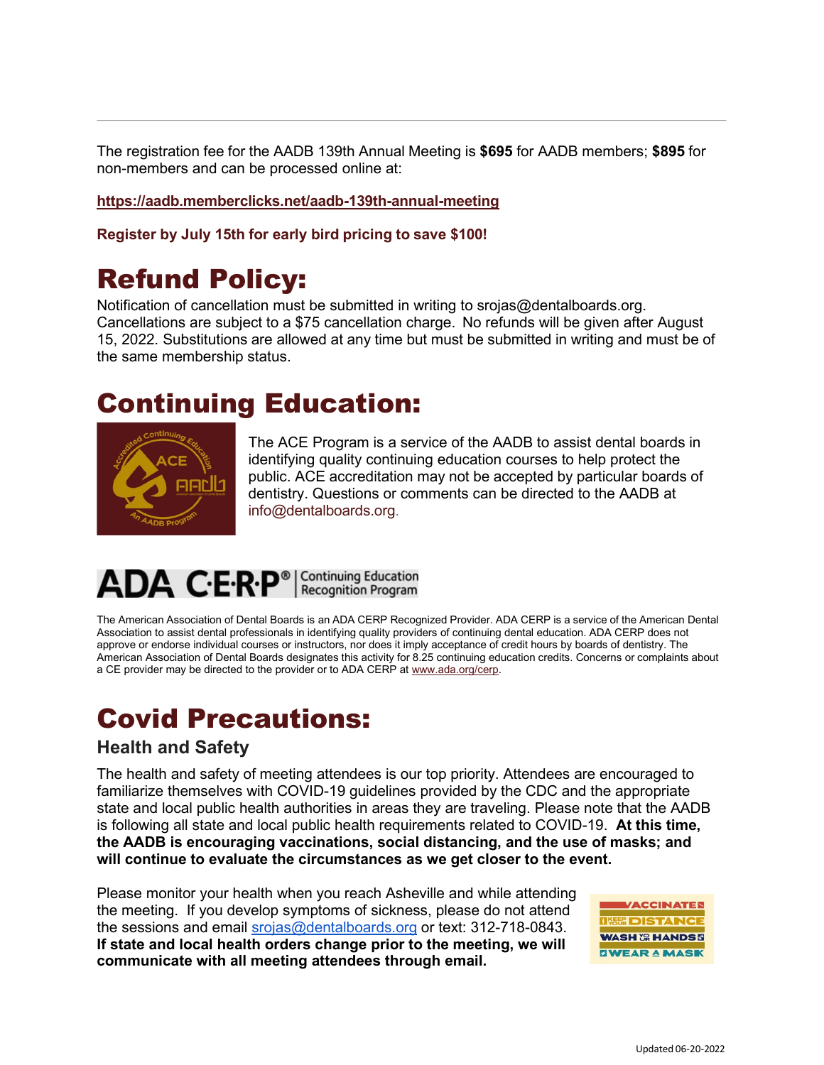The registration fee for the AADB 139th Annual Meeting is **\$695** for AADB members; **\$895** for non-members and can be processed online at:

**<https://aadb.memberclicks.net/aadb-139th-annual-meeting>**

**Register by July 15th for early bird pricing to save \$100!**

### Refund Policy:

Notification of cancellation must be submitted in writing to [srojas@dentalboards.org.](http://aadb.memberclicks.net/message2/link/d219841f-e96d-4b7d-858a-90bc5fb04769/7) Cancellations are subject to a \$75 cancellation charge. No refunds will be given after August 15, 2022. Substitutions are allowed at any time but must be submitted in writing and must be of the same membership status.

### Continuing Education:



The ACE Program is a service of the AADB to assist dental boards in identifying quality continuing education courses to help protect the public. ACE accreditation may not be accepted by particular boards of dentistry. Questions or comments can be directed to the AADB at [info@dentalboards.org.](mailto:info@dentalboards.org)

# ADA C.E.R.P<sup>®</sup> | Continuing Education

The American Association of Dental Boards is an ADA CERP Recognized Provider. ADA CERP is a service of the American Dental Association to assist dental professionals in identifying quality providers of continuing dental education. ADA CERP does not approve or endorse individual courses or instructors, nor does it imply acceptance of credit hours by boards of dentistry. The American Association of Dental Boards designates this activity for 8.25 continuing education credits. Concerns or complaints about a CE provider may be directed to the provider or to ADA CERP at [www.ada.org/cerp.](http://www.ada.org/cerp)

### Covid Precautions:

#### **Health and Safety**

The health and safety of meeting attendees is our top priority. Attendees are encouraged to familiarize themselves with COVID-19 guidelines provided by the CDC and the appropriate state and local public health authorities in areas they are traveling. Please note that the AADB is following all state and local public health requirements related to COVID-19. **At this time, the AADB is encouraging vaccinations, social distancing, and the use of masks; and will continue to evaluate the circumstances as we get closer to the event.**

Please monitor your health when you reach Asheville and while attending the meeting. If you develop symptoms of sickness, please do not attend the sessions and email [srojas@dentalboards.org](mailto:srojas@dentalboards.org) or text: 312-718-0843. **If state and local health orders change prior to the meeting, we will communicate with all meeting attendees through email.** 

**ACCINATER BOISTANC WASH & HANDS & ZWEAR A MASK**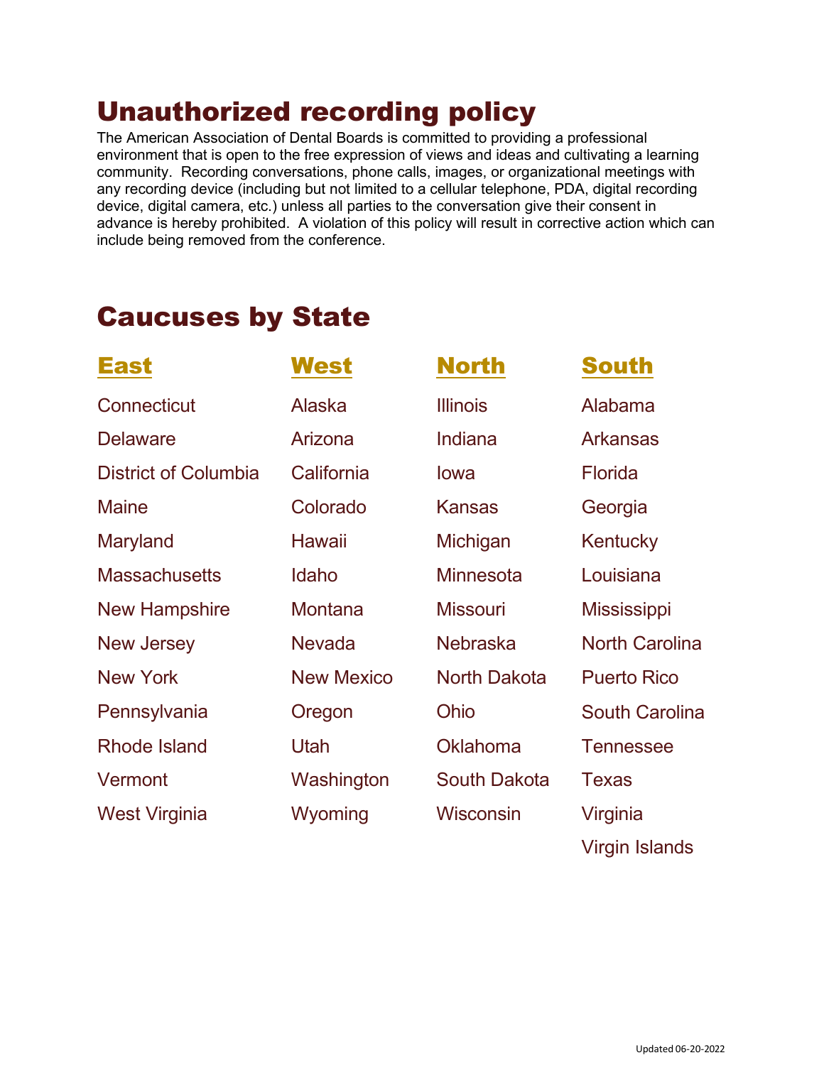### Unauthorized recording policy

The American Association of Dental Boards is committed to providing a professional environment that is open to the free expression of views and ideas and cultivating a learning community. Recording conversations, phone calls, images, or organizational meetings with any recording device (including but not limited to a cellular telephone, PDA, digital recording device, digital camera, etc.) unless all parties to the conversation give their consent in advance is hereby prohibited. A violation of this policy will result in corrective action which can include being removed from the conference.

### Caucuses by State

| East                        | West              | <b>North</b>        | <b>South</b>          |
|-----------------------------|-------------------|---------------------|-----------------------|
| Connecticut                 | Alaska            | <b>Illinois</b>     | Alabama               |
| <b>Delaware</b>             | Arizona           | Indiana             | <b>Arkansas</b>       |
| <b>District of Columbia</b> | California        | lowa                | <b>Florida</b>        |
| <b>Maine</b>                | Colorado          | <b>Kansas</b>       | Georgia               |
| Maryland                    | <b>Hawaii</b>     | Michigan            | Kentucky              |
| <b>Massachusetts</b>        | Idaho             | <b>Minnesota</b>    | Louisiana             |
| <b>New Hampshire</b>        | Montana           | <b>Missouri</b>     | <b>Mississippi</b>    |
| <b>New Jersey</b>           | <b>Nevada</b>     | <b>Nebraska</b>     | <b>North Carolina</b> |
| <b>New York</b>             | <b>New Mexico</b> | <b>North Dakota</b> | <b>Puerto Rico</b>    |
| Pennsylvania                | Oregon            | Ohio                | <b>South Carolina</b> |
| <b>Rhode Island</b>         | Utah              | <b>Oklahoma</b>     | <b>Tennessee</b>      |
| Vermont                     | Washington        | <b>South Dakota</b> | <b>Texas</b>          |
| <b>West Virginia</b>        | Wyoming           | <b>Wisconsin</b>    | Virginia              |
|                             |                   |                     | <b>Virgin Islands</b> |